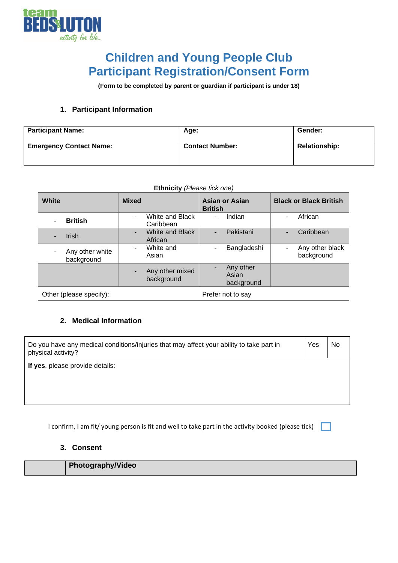

## **Children and Young People Club Participant Registration/Consent Form**

**(Form to be completed by parent or guardian if participant is under 18)**

## **1. Participant Information**

| <b>Participant Name:</b>       | Age:                   | Gender:              |
|--------------------------------|------------------------|----------------------|
| <b>Emergency Contact Name:</b> | <b>Contact Number:</b> | <b>Relationship:</b> |

| <b>Ethnicity</b> (Please tick one) |                               |              |                               |                                         |   |                               |
|------------------------------------|-------------------------------|--------------|-------------------------------|-----------------------------------------|---|-------------------------------|
| White                              |                               | <b>Mixed</b> |                               | <b>Asian or Asian</b><br><b>British</b> |   | <b>Black or Black British</b> |
|                                    | <b>British</b>                | Ξ.           | White and Black<br>Caribbean  | Indian<br>۰                             | ۰ | African                       |
|                                    | <b>Irish</b>                  | ٠            | White and Black<br>African    | Pakistani<br>٠                          | ÷ | Caribbean                     |
|                                    | Any other white<br>background | ٠.           | White and<br>Asian            | Bangladeshi<br>۰                        | - | Any other black<br>background |
|                                    |                               |              | Any other mixed<br>background | Any other<br>Asian<br>background        |   |                               |
|                                    | Other (please specify):       |              |                               | Prefer not to say                       |   |                               |

## **2. Medical Information**

| Do you have any medical conditions/injuries that may affect your ability to take part in<br>physical activity? | Yes | No |
|----------------------------------------------------------------------------------------------------------------|-----|----|
| If yes, please provide details:                                                                                |     |    |
|                                                                                                                |     |    |

I confirm, I am fit/ young person is fit and well to take part in the activity booked (please tick)

## **3. Consent**

| <b>Photography/Video</b> |
|--------------------------|
|                          |